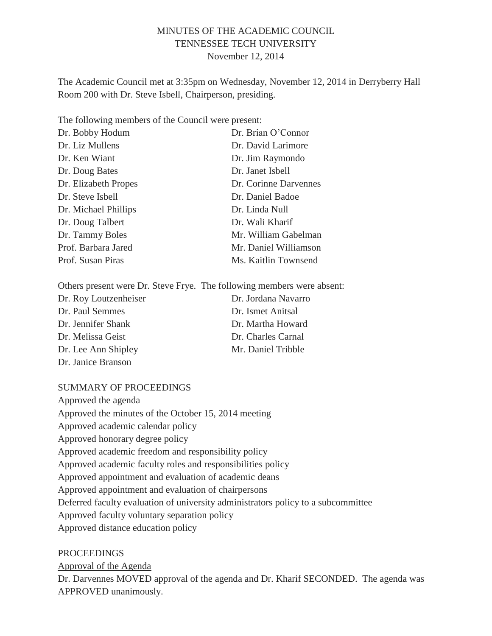### MINUTES OF THE ACADEMIC COUNCIL TENNESSEE TECH UNIVERSITY November 12, 2014

The Academic Council met at 3:35pm on Wednesday, November 12, 2014 in Derryberry Hall Room 200 with Dr. Steve Isbell, Chairperson, presiding.

The following members of the Council were present:

| Dr. Bobby Hodum      | Dr. Brian O'Connor    |
|----------------------|-----------------------|
| Dr. Liz Mullens      | Dr. David Larimore    |
| Dr. Ken Wiant        | Dr. Jim Raymondo      |
| Dr. Doug Bates       | Dr. Janet Isbell      |
| Dr. Elizabeth Propes | Dr. Corinne Darvennes |
| Dr. Steve Isbell     | Dr. Daniel Badoe      |
| Dr. Michael Phillips | Dr. Linda Null        |
| Dr. Doug Talbert     | Dr. Wali Kharif       |
| Dr. Tammy Boles      | Mr. William Gabelman  |
| Prof. Barbara Jared  | Mr. Daniel Williamson |
| Prof. Susan Piras    | Ms. Kaitlin Townsend  |

Others present were Dr. Steve Frye. The following members were absent:

| Dr. Roy Loutzenheiser | Dr. Jordana Navarro |
|-----------------------|---------------------|
| Dr. Paul Semmes       | Dr. Ismet Anitsal   |
| Dr. Jennifer Shank    | Dr. Martha Howard   |
| Dr. Melissa Geist     | Dr. Charles Carnal  |
| Dr. Lee Ann Shipley   | Mr. Daniel Tribble  |
| Dr. Janice Branson    |                     |

#### SUMMARY OF PROCEEDINGS

Approved the agenda Approved the minutes of the October 15, 2014 meeting Approved academic calendar policy Approved honorary degree policy Approved academic freedom and responsibility policy Approved academic faculty roles and responsibilities policy Approved appointment and evaluation of academic deans Approved appointment and evaluation of chairpersons Deferred faculty evaluation of university administrators policy to a subcommittee Approved faculty voluntary separation policy Approved distance education policy

#### **PROCEEDINGS**

Approval of the Agenda

Dr. Darvennes MOVED approval of the agenda and Dr. Kharif SECONDED. The agenda was APPROVED unanimously.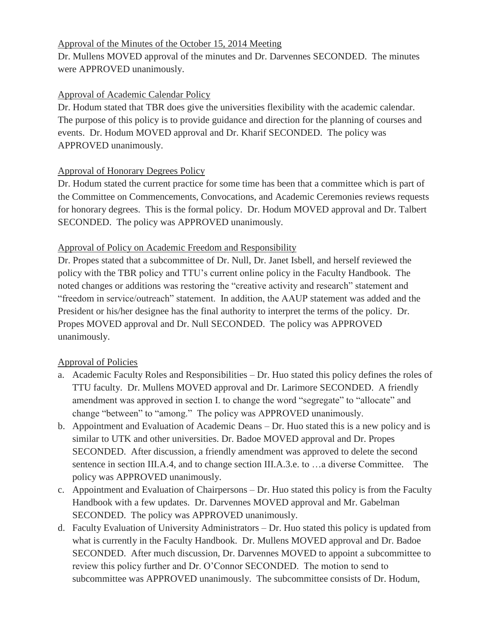#### Approval of the Minutes of the October 15, 2014 Meeting

Dr. Mullens MOVED approval of the minutes and Dr. Darvennes SECONDED. The minutes were APPROVED unanimously.

## Approval of Academic Calendar Policy

Dr. Hodum stated that TBR does give the universities flexibility with the academic calendar. The purpose of this policy is to provide guidance and direction for the planning of courses and events. Dr. Hodum MOVED approval and Dr. Kharif SECONDED. The policy was APPROVED unanimously.

## Approval of Honorary Degrees Policy

Dr. Hodum stated the current practice for some time has been that a committee which is part of the Committee on Commencements, Convocations, and Academic Ceremonies reviews requests for honorary degrees. This is the formal policy. Dr. Hodum MOVED approval and Dr. Talbert SECONDED. The policy was APPROVED unanimously.

## Approval of Policy on Academic Freedom and Responsibility

Dr. Propes stated that a subcommittee of Dr. Null, Dr. Janet Isbell, and herself reviewed the policy with the TBR policy and TTU's current online policy in the Faculty Handbook. The noted changes or additions was restoring the "creative activity and research" statement and "freedom in service/outreach" statement. In addition, the AAUP statement was added and the President or his/her designee has the final authority to interpret the terms of the policy. Dr. Propes MOVED approval and Dr. Null SECONDED. The policy was APPROVED unanimously.

# Approval of Policies

- a. Academic Faculty Roles and Responsibilities Dr. Huo stated this policy defines the roles of TTU faculty. Dr. Mullens MOVED approval and Dr. Larimore SECONDED. A friendly amendment was approved in section I. to change the word "segregate" to "allocate" and change "between" to "among." The policy was APPROVED unanimously.
- b. Appointment and Evaluation of Academic Deans Dr. Huo stated this is a new policy and is similar to UTK and other universities. Dr. Badoe MOVED approval and Dr. Propes SECONDED. After discussion, a friendly amendment was approved to delete the second sentence in section III.A.4, and to change section III.A.3.e. to ...a diverse Committee. The policy was APPROVED unanimously.
- c. Appointment and Evaluation of Chairpersons Dr. Huo stated this policy is from the Faculty Handbook with a few updates. Dr. Darvennes MOVED approval and Mr. Gabelman SECONDED. The policy was APPROVED unanimously.
- d. Faculty Evaluation of University Administrators Dr. Huo stated this policy is updated from what is currently in the Faculty Handbook. Dr. Mullens MOVED approval and Dr. Badoe SECONDED. After much discussion, Dr. Darvennes MOVED to appoint a subcommittee to review this policy further and Dr. O'Connor SECONDED. The motion to send to subcommittee was APPROVED unanimously. The subcommittee consists of Dr. Hodum,